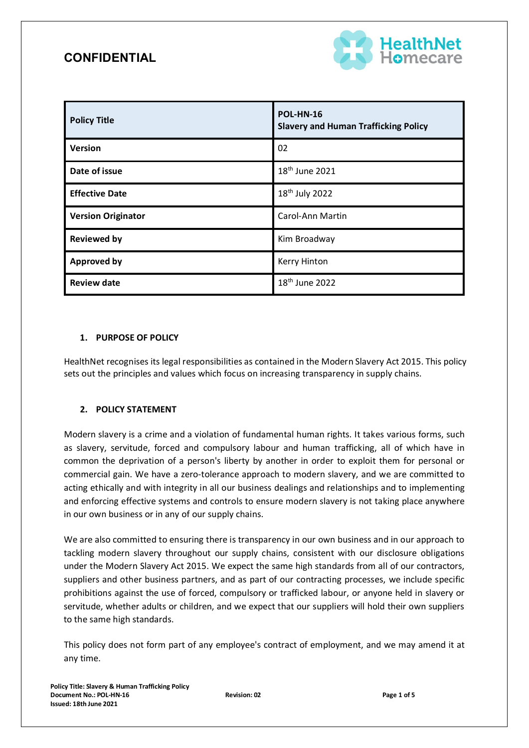

| <b>Policy Title</b>       | <b>POL-HN-16</b><br><b>Slavery and Human Trafficking Policy</b> |
|---------------------------|-----------------------------------------------------------------|
| <b>Version</b>            | 02                                                              |
| Date of issue             | 18 <sup>th</sup> June 2021                                      |
| <b>Effective Date</b>     | 18 <sup>th</sup> July 2022                                      |
| <b>Version Originator</b> | Carol-Ann Martin                                                |
| <b>Reviewed by</b>        | Kim Broadway                                                    |
| <b>Approved by</b>        | Kerry Hinton                                                    |
| <b>Review date</b>        | 18 <sup>th</sup> June 2022                                      |

### **1. PURPOSE OF POLICY**

HealthNet recognises its legal responsibilities as contained in the Modern Slavery Act 2015. This policy sets out the principles and values which focus on increasing transparency in supply chains.

### **2. POLICY STATEMENT**

Modern slavery is a crime and a violation of fundamental human rights. It takes various forms, such as slavery, servitude, forced and compulsory labour and human trafficking, all of which have in common the deprivation of a person's liberty by another in order to exploit them for personal or commercial gain. We have a zero-tolerance approach to modern slavery, and we are committed to acting ethically and with integrity in all our business dealings and relationships and to implementing and enforcing effective systems and controls to ensure modern slavery is not taking place anywhere in our own business or in any of our supply chains.

We are also committed to ensuring there is transparency in our own business and in our approach to tackling modern slavery throughout our supply chains, consistent with our disclosure obligations under the Modern Slavery Act 2015. We expect the same high standards from all of our contractors, suppliers and other business partners, and as part of our contracting processes, we include specific prohibitions against the use of forced, compulsory or trafficked labour, or anyone held in slavery or servitude, whether adults or children, and we expect that our suppliers will hold their own suppliers to the same high standards.

This policy does not form part of any employee's contract of employment, and we may amend it at any time.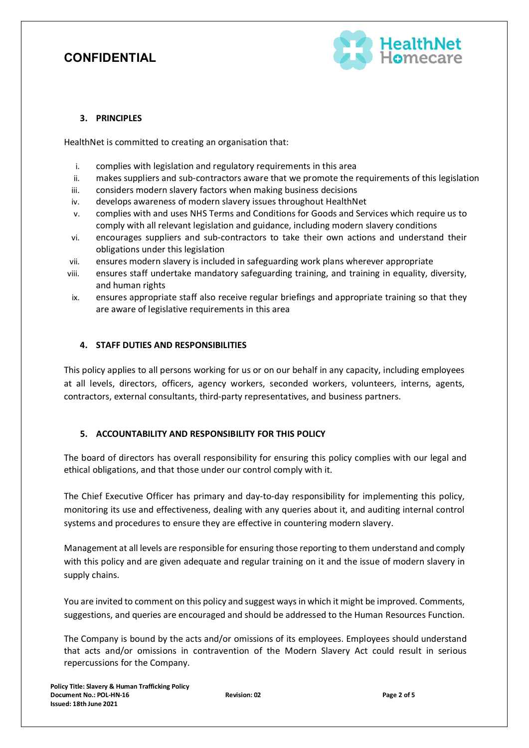

### **3. PRINCIPLES**

HealthNet is committed to creating an organisation that:

- i. complies with legislation and regulatory requirements in this area
- ii. makes suppliers and sub-contractors aware that we promote the requirements of this legislation
- iii. considers modern slavery factors when making business decisions
- iv. develops awareness of modern slavery issues throughout HealthNet
- v. complies with and uses NHS Terms and Conditions for Goods and Services which require us to comply with all relevant legislation and guidance, including modern slavery conditions
- vi. encourages suppliers and sub-contractors to take their own actions and understand their obligations under this legislation
- vii. ensures modern slavery is included in safeguarding work plans wherever appropriate
- viii. ensures staff undertake mandatory safeguarding training, and training in equality, diversity, and human rights
- ix. ensures appropriate staff also receive regular briefings and appropriate training so that they are aware of legislative requirements in this area

### **4. STAFF DUTIES AND RESPONSIBILITIES**

This policy applies to all persons working for us or on our behalf in any capacity, including employees at all levels, directors, officers, agency workers, seconded workers, volunteers, interns, agents, contractors, external consultants, third-party representatives, and business partners.

### **5. ACCOUNTABILITY AND RESPONSIBILITY FOR THIS POLICY**

The board of directors has overall responsibility for ensuring this policy complies with our legal and ethical obligations, and that those under our control comply with it.

The Chief Executive Officer has primary and day-to-day responsibility for implementing this policy, monitoring its use and effectiveness, dealing with any queries about it, and auditing internal control systems and procedures to ensure they are effective in countering modern slavery.

Management at all levels are responsible for ensuring those reporting to them understand and comply with this policy and are given adequate and regular training on it and the issue of modern slavery in supply chains.

You are invited to comment on this policy and suggest waysin which it might be improved. Comments, suggestions, and queries are encouraged and should be addressed to the Human Resources Function.

The Company is bound by the acts and/or omissions of its employees. Employees should understand that acts and/or omissions in contravention of the Modern Slavery Act could result in serious repercussions for the Company.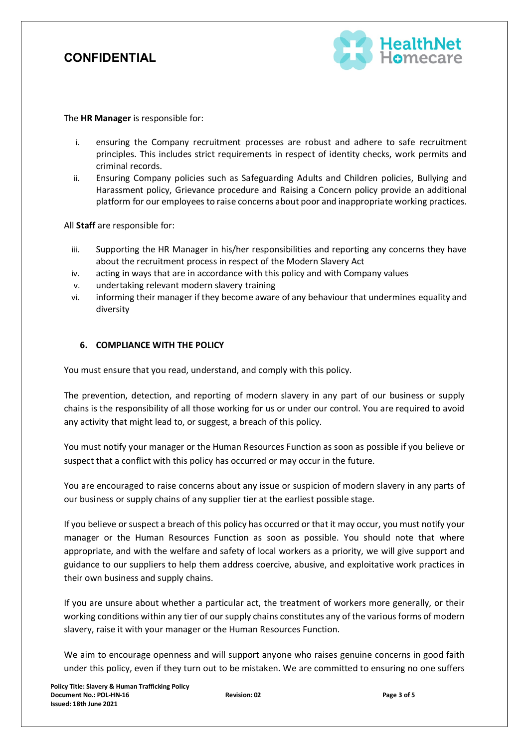

The **HR Manager** is responsible for:

- i. ensuring the Company recruitment processes are robust and adhere to safe recruitment principles. This includes strict requirements in respect of identity checks, work permits and criminal records.
- ii. Ensuring Company policies such as Safeguarding Adults and Children policies, Bullying and Harassment policy, Grievance procedure and Raising a Concern policy provide an additional platform for our employees to raise concerns about poor and inappropriate working practices.

All **Staff** are responsible for:

- iii. Supporting the HR Manager in his/her responsibilities and reporting any concerns they have about the recruitment process in respect of the Modern Slavery Act
- iv. acting in ways that are in accordance with this policy and with Company values
- v. undertaking relevant modern slavery training
- vi. informing their manager if they become aware of any behaviour that undermines equality and diversity

### **6. COMPLIANCE WITH THE POLICY**

You must ensure that you read, understand, and comply with this policy.

The prevention, detection, and reporting of modern slavery in any part of our business or supply chains is the responsibility of all those working for us or under our control. You are required to avoid any activity that might lead to, or suggest, a breach of this policy.

You must notify your manager or the Human Resources Function as soon as possible if you believe or suspect that a conflict with this policy has occurred or may occur in the future.

You are encouraged to raise concerns about any issue or suspicion of modern slavery in any parts of our business or supply chains of any supplier tier at the earliest possible stage.

If you believe or suspect a breach of this policy has occurred or that it may occur, you must notify your manager or the Human Resources Function as soon as possible. You should note that where appropriate, and with the welfare and safety of local workers as a priority, we will give support and guidance to our suppliers to help them address coercive, abusive, and exploitative work practices in their own business and supply chains.

If you are unsure about whether a particular act, the treatment of workers more generally, or their working conditions within any tier of our supply chains constitutes any of the various forms of modern slavery, raise it with your manager or the Human Resources Function.

We aim to encourage openness and will support anyone who raises genuine concerns in good faith under this policy, even if they turn out to be mistaken. We are committed to ensuring no one suffers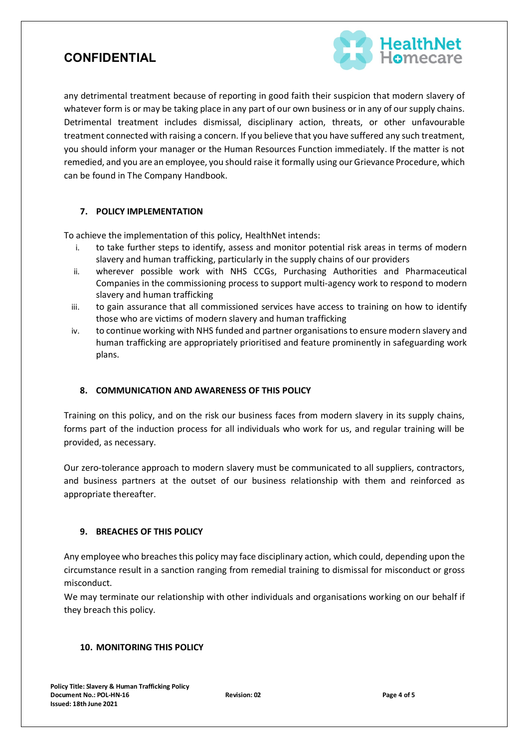

any detrimental treatment because of reporting in good faith their suspicion that modern slavery of whatever form is or may be taking place in any part of our own business or in any of our supply chains. Detrimental treatment includes dismissal, disciplinary action, threats, or other unfavourable treatment connected with raising a concern. If you believe that you have suffered any such treatment, you should inform your manager or the Human Resources Function immediately. If the matter is not remedied, and you are an employee, you should raise it formally using our Grievance Procedure, which can be found in The Company Handbook.

### **7. POLICY IMPLEMENTATION**

To achieve the implementation of this policy, HealthNet intends:

- i. to take further steps to identify, assess and monitor potential risk areas in terms of modern slavery and human trafficking, particularly in the supply chains of our providers
- ii. wherever possible work with NHS CCGs, Purchasing Authorities and Pharmaceutical Companies in the commissioning process to support multi-agency work to respond to modern slavery and human trafficking
- iii. to gain assurance that all commissioned services have access to training on how to identify those who are victims of modern slavery and human trafficking
- iv. to continue working with NHS funded and partner organisations to ensure modern slavery and human trafficking are appropriately prioritised and feature prominently in safeguarding work plans.

#### **8. COMMUNICATION AND AWARENESS OF THIS POLICY**

Training on this policy, and on the risk our business faces from modern slavery in its supply chains, forms part of the induction process for all individuals who work for us, and regular training will be provided, as necessary.

Our zero-tolerance approach to modern slavery must be communicated to all suppliers, contractors, and business partners at the outset of our business relationship with them and reinforced as appropriate thereafter.

#### **9. BREACHES OF THIS POLICY**

Any employee who breaches this policy may face disciplinary action, which could, depending upon the circumstance result in a sanction ranging from remedial training to dismissal for misconduct or gross misconduct.

We may terminate our relationship with other individuals and organisations working on our behalf if they breach this policy.

### **10. MONITORING THIS POLICY**